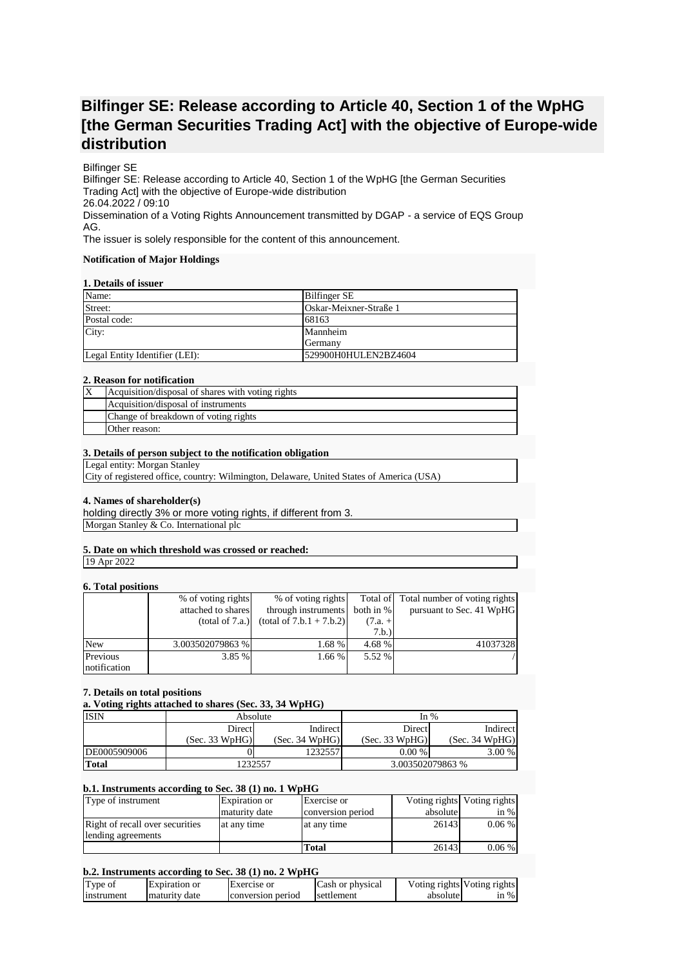# **Bilfinger SE: Release according to Article 40, Section 1 of the WpHG [the German Securities Trading Act] with the objective of Europe-wide distribution**

# Bilfinger SE

Bilfinger SE: Release according to Article 40, Section 1 of the WpHG [the German Securities Trading Act] with the objective of Europe-wide distribution 26.04.2022 / 09:10 Dissemination of a Voting Rights Announcement transmitted by DGAP - a service of EQS Group AG.

The issuer is solely responsible for the content of this announcement.

#### **Notification of Major Holdings**

#### **1. Details of issuer**

| Name:                          | <b>Bilfinger SE</b>    |
|--------------------------------|------------------------|
| Street:                        | Oskar-Meixner-Straße 1 |
| Postal code:                   | 68163                  |
| City:                          | Mannheim               |
|                                | Germany                |
| Legal Entity Identifier (LEI): | 529900H0HULEN2BZ4604   |

#### **2. Reason for notification**

| Acquisition/disposal of shares with voting rights |
|---------------------------------------------------|
| Acquisition/disposal of instruments               |
| Change of breakdown of voting rights              |
| Other reason:                                     |

#### **3. Details of person subject to the notification obligation**

Legal entity: Morgan Stanley

City of registered office, country: Wilmington, Delaware, United States of America (USA)

# **4. Names of shareholder(s)**

holding directly 3% or more voting rights, if different from 3. Morgan Stanley & Co. International plc

# **5. Date on which threshold was crossed or reached:**

19 Apr 2022

# **6. Total positions**

| <u>VI I VUM MUDIMUMD</u> |                    |                            |             |                                        |
|--------------------------|--------------------|----------------------------|-------------|----------------------------------------|
|                          | % of voting rights | % of voting rights         |             | Total of Total number of voting rights |
|                          | attached to shares | through instruments        | both in $%$ | pursuant to Sec. 41 WpHG               |
|                          | (total of 7.a.)    | $(total of 7.b.1 + 7.b.2)$ | $(7.a. +$   |                                        |
|                          |                    |                            | 7.b.)       |                                        |
| <b>New</b>               | 3.003502079863 %   | 1.68 %                     | 4.68 %      | 41037328                               |
| Previous                 | 3.85 %             | 1.66 %                     | 5.52 %      |                                        |
| notification             |                    |                            |             |                                        |

## **7. Details on total positions**

**a. Voting rights attached to shares (Sec. 33, 34 WpHG)**

| <b>ISIN</b>  | Absolute       |                | In $%$           |                |
|--------------|----------------|----------------|------------------|----------------|
|              | Direct         | Indirect       | <b>Direct</b>    | Indirect       |
|              | (Sec. 33 WpHG) | (Sec. 34 WpHG) | (Sec. 33 WpHG)   | (Sec. 34 WpHG) |
| DE0005909006 |                | 1232557        | $0.00\%$         | $3.00\%$       |
| <b>Total</b> | 1232557        |                | 3.003502079863 % |                |

#### **b.1. Instruments according to Sec. 38 (1) no. 1 WpHG**

| Type of instrument              | <b>Expiration</b> or | Exercise or       |          | Voting rights Voting rights |
|---------------------------------|----------------------|-------------------|----------|-----------------------------|
|                                 | maturity date        | conversion period | absolute | in $%$                      |
| Right of recall over securities | at any time          | at any time       | 26143    | $0.06\%$                    |
| lending agreements              |                      |                   |          |                             |
|                                 |                      | Total             | 26143    | $0.06\%$                    |

## **b.2. Instruments according to Sec. 38 (1) no. 2 WpHG**

| Type of    | Expiration or   | <b>Exercise</b> or | Cash or physical |          | Voting rights Voting rights |
|------------|-----------------|--------------------|------------------|----------|-----------------------------|
| instrument | I maturity date | conversion period  | settlement       | absolute | $\sin \%$                   |